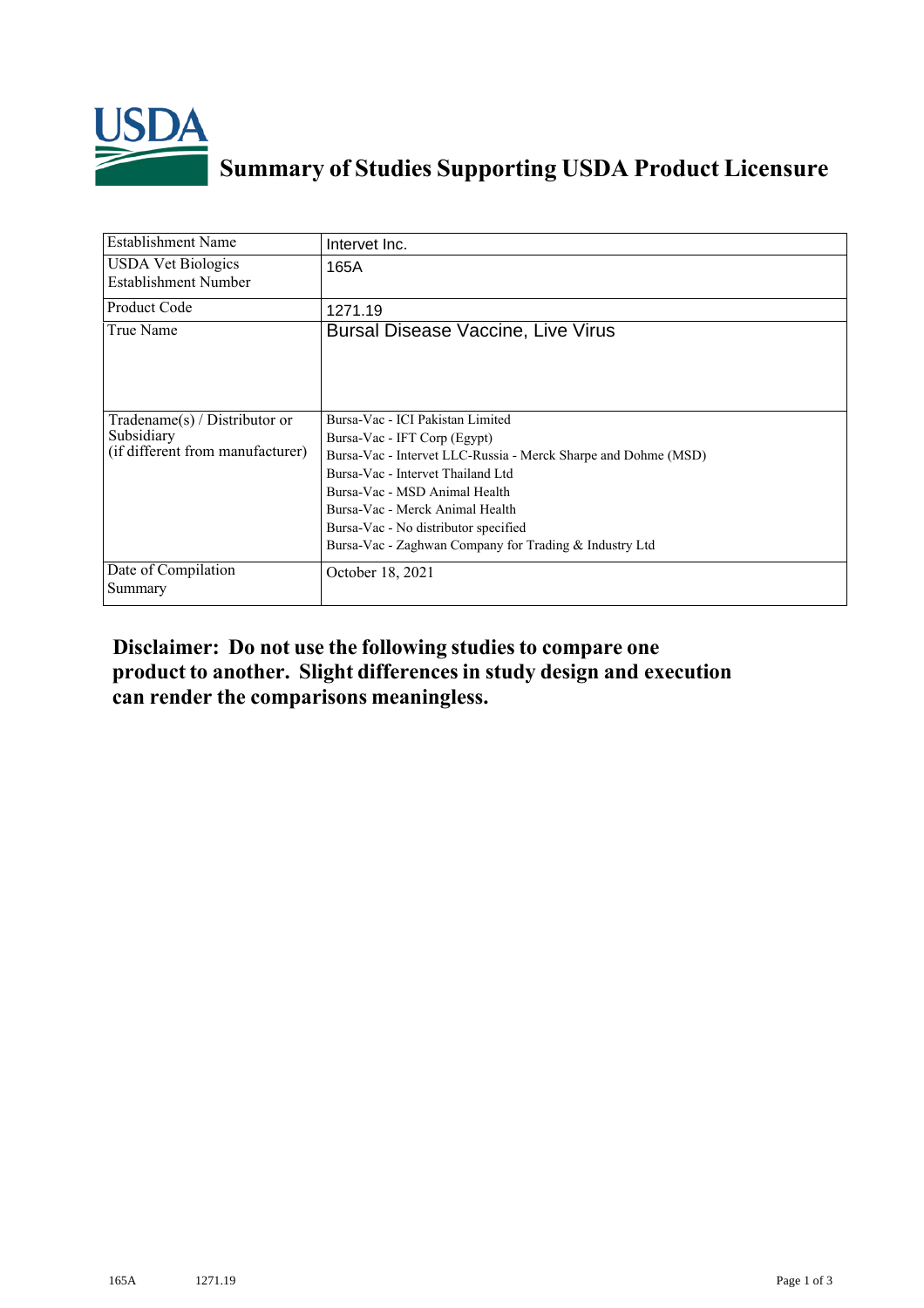

## **Summary of Studies Supporting USDA Product Licensure**

| <b>Establishment Name</b>                                                       | Intervet Inc.                                                                                                                                                                                                                                                                                                                                 |
|---------------------------------------------------------------------------------|-----------------------------------------------------------------------------------------------------------------------------------------------------------------------------------------------------------------------------------------------------------------------------------------------------------------------------------------------|
| <b>USDA Vet Biologics</b><br>Establishment Number                               | 165A                                                                                                                                                                                                                                                                                                                                          |
| <b>Product Code</b>                                                             | 1271.19                                                                                                                                                                                                                                                                                                                                       |
| True Name                                                                       | <b>Bursal Disease Vaccine, Live Virus</b>                                                                                                                                                                                                                                                                                                     |
| Tradename(s) / Distributor or<br>Subsidiary<br>(if different from manufacturer) | Bursa-Vac - ICI Pakistan Limited<br>Bursa-Vac - IFT Corp (Egypt)<br>Bursa-Vac - Intervet LLC-Russia - Merck Sharpe and Dohme (MSD)<br>Bursa-Vac - Intervet Thailand Ltd<br>Bursa-Vac - MSD Animal Health<br>Bursa-Vac - Merck Animal Health<br>Bursa-Vac - No distributor specified<br>Bursa-Vac - Zaghwan Company for Trading & Industry Ltd |
| Date of Compilation<br>Summary                                                  | October 18, 2021                                                                                                                                                                                                                                                                                                                              |

**Disclaimer: Do not use the following studiesto compare one product to another. Slight differencesin study design and execution can render the comparisons meaningless.**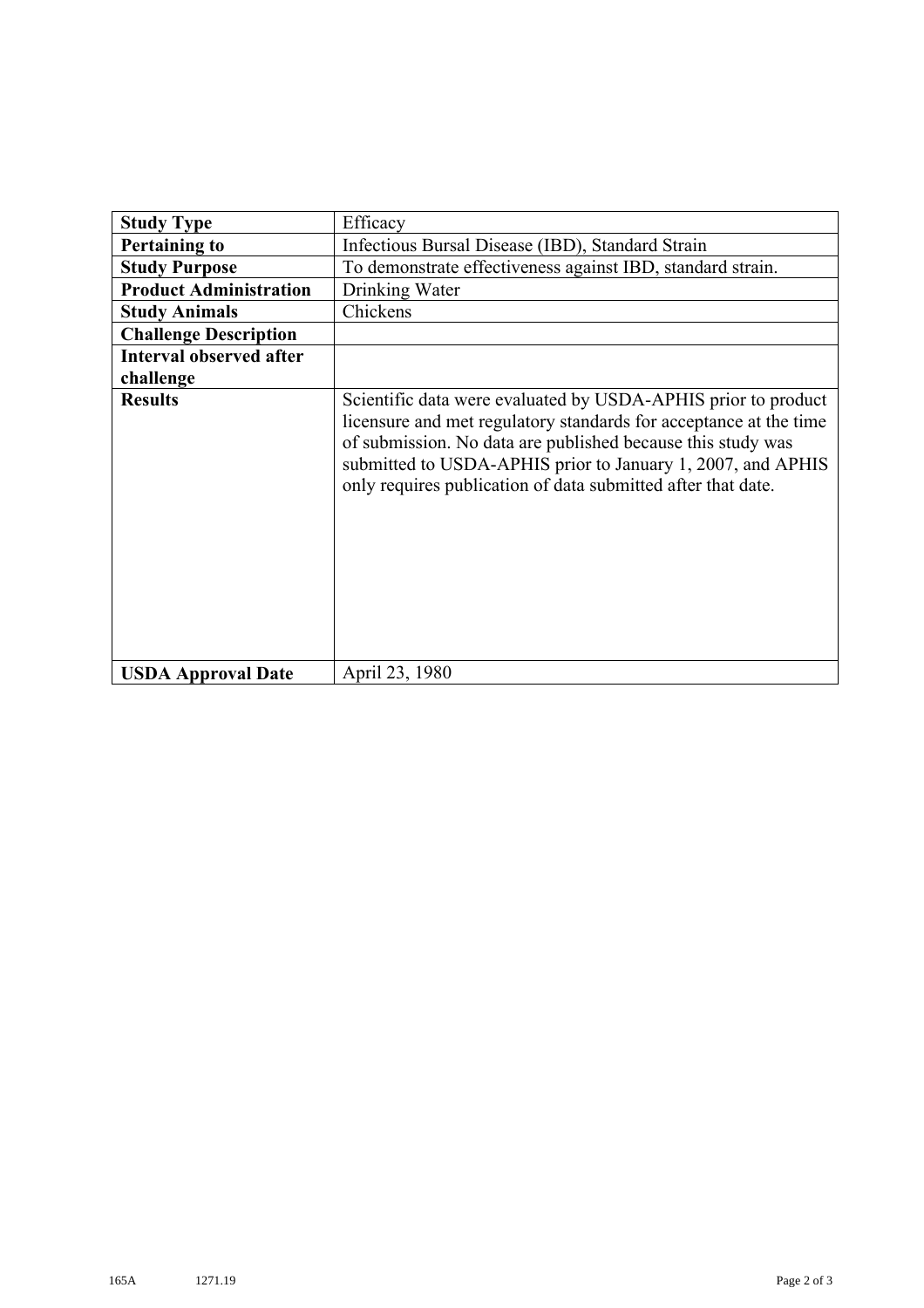| <b>Study Type</b>              | Efficacy                                                                                                                                                                                                                                                                                                                         |
|--------------------------------|----------------------------------------------------------------------------------------------------------------------------------------------------------------------------------------------------------------------------------------------------------------------------------------------------------------------------------|
| <b>Pertaining to</b>           | Infectious Bursal Disease (IBD), Standard Strain                                                                                                                                                                                                                                                                                 |
| <b>Study Purpose</b>           | To demonstrate effectiveness against IBD, standard strain.                                                                                                                                                                                                                                                                       |
| <b>Product Administration</b>  | Drinking Water                                                                                                                                                                                                                                                                                                                   |
| <b>Study Animals</b>           | Chickens                                                                                                                                                                                                                                                                                                                         |
| <b>Challenge Description</b>   |                                                                                                                                                                                                                                                                                                                                  |
| <b>Interval observed after</b> |                                                                                                                                                                                                                                                                                                                                  |
| challenge                      |                                                                                                                                                                                                                                                                                                                                  |
| <b>Results</b>                 | Scientific data were evaluated by USDA-APHIS prior to product<br>licensure and met regulatory standards for acceptance at the time<br>of submission. No data are published because this study was<br>submitted to USDA-APHIS prior to January 1, 2007, and APHIS<br>only requires publication of data submitted after that date. |
| <b>USDA Approval Date</b>      | April 23, 1980                                                                                                                                                                                                                                                                                                                   |